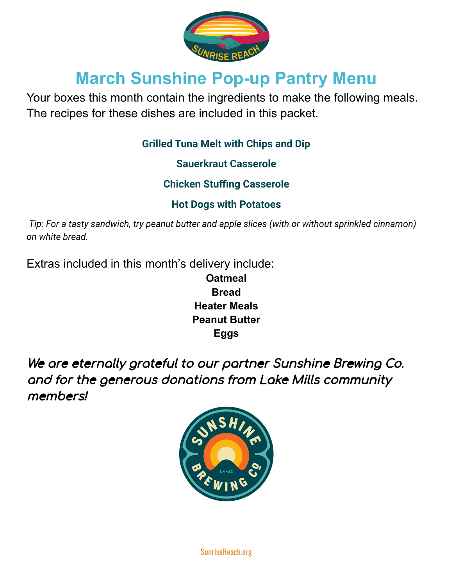

# **March Sunshine Pop-up Pantry Menu**

Your boxes this month contain the ingredients to make the following meals. The recipes for these dishes are included in this packet.

#### **Grilled Tuna Melt with Chips and Dip**

**Sauerkraut Casserole**

**Chicken Stuffing Casserole**

## **Hot Dogs with Potatoes**

*Tip: For a tasty sandwich, try peanut butter and apple slices (with or without sprinkled cinnamon) on white bread.*

Extras included in this month's delivery include:

**Oatmeal Bread Heater Meals Peanut Butter Eggs**

We are eternally grateful to our partner Sunshine Brewing Co. and for the generous donations from Lake Mills community members!



SunriseReach.org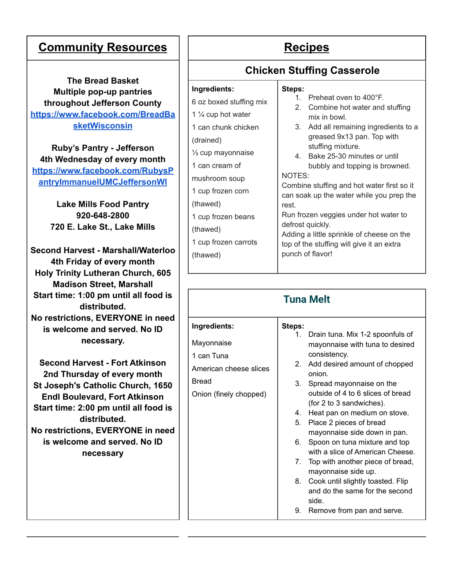### **Community Resources** | Recipes

**The Bread Basket Multiple pop-up pantries throughout Jefferson County [https://www.facebook.com/BreadBa](https://www.facebook.com/BreadBasketWisconsin) [sketWisconsin](https://www.facebook.com/BreadBasketWisconsin)**

**Ruby's Pantry - Jefferson 4th Wednesday of every month [https://www.facebook.com/RubysP](https://www.facebook.com/RubysPantryImmanuelUMCJeffersonWI) [antryImmanuelUMCJeffersonWI](https://www.facebook.com/RubysPantryImmanuelUMCJeffersonWI)**

> **Lake Mills Food Pantry 920-648-2800 720 E. Lake St., Lake Mills**

**Second Harvest - Marshall/Waterloo 4th Friday of every month Holy Trinity Lutheran Church, 605 Madison Street, Marshall Start time: 1:00 pm until all food is distributed. No restrictions, EVERYONE in need is welcome and served. No ID necessary.**

**Second Harvest - Fort Atkinson 2nd Thursday of every month St Joseph's Catholic Church, 1650 Endl Boulevard, Fort Atkinson Start time: 2:00 pm until all food is distributed. No restrictions, EVERYONE in need is welcome and served. No ID necessary**

**Steps:**

#### **Chicken Stuffing Casserole**

#### **Ingredients:**

- 6 oz boxed stuffing mix
- 1 ¼ cup hot water 1 can chunk chicken
- 
- (drained)
- ⅓ cup mayonnaise 1 can cream of
- mushroom soup
- 1 cup frozen corn
- (thawed)
- 1 cup frozen beans
- (thawed)
- 1 cup frozen carrots (thawed)

| 3.                                         | Add all remaining ingredients to a |  |
|--------------------------------------------|------------------------------------|--|
|                                            | greased 9x13 pan. Top with         |  |
|                                            | stuffing mixture.                  |  |
|                                            | Bake 25-30 minutes or until        |  |
|                                            | bubbly and topping is browned.     |  |
| NOTES:                                     |                                    |  |
| Combine stuffing and hot water first so it |                                    |  |
| can soak up the water while you prep the   |                                    |  |

1. Preheat oven to 400°F.

mix in bowl.

2. Combine hot water and stuffing

rest.

Run frozen veggies under hot water to defrost quickly.

Adding a little sprinkle of cheese on the top of the stuffing will give it an extra punch of flavor!

| <b>Tuna Melt</b>       |        |                                         |  |  |  |
|------------------------|--------|-----------------------------------------|--|--|--|
| Ingredients:           | Steps: |                                         |  |  |  |
|                        | 1.     | Drain tuna. Mix 1-2 spoonfuls of        |  |  |  |
| Mayonnaise             |        | mayonnaise with tuna to desired         |  |  |  |
| 1 can Tuna             |        | consistency.                            |  |  |  |
| American cheese slices | 2.     | Add desired amount of chopped<br>onion. |  |  |  |
| <b>Bread</b>           | 3.     | Spread mayonnaise on the                |  |  |  |
| Onion (finely chopped) |        | outside of 4 to 6 slices of bread       |  |  |  |
|                        |        | (for 2 to 3 sandwiches).                |  |  |  |
|                        | 4.     | Heat pan on medium on stove.            |  |  |  |
|                        | 5.     | Place 2 pieces of bread                 |  |  |  |
|                        |        | mayonnaise side down in pan.            |  |  |  |
|                        | 6.     | Spoon on tuna mixture and top           |  |  |  |
|                        |        | with a slice of American Cheese.        |  |  |  |
|                        | 7.     | Top with another piece of bread,        |  |  |  |
|                        |        | mayonnaise side up.                     |  |  |  |
|                        | 8.     | Cook until slightly toasted. Flip       |  |  |  |
|                        |        | and do the same for the second          |  |  |  |
|                        |        | side.                                   |  |  |  |

9. Remove from pan and serve.